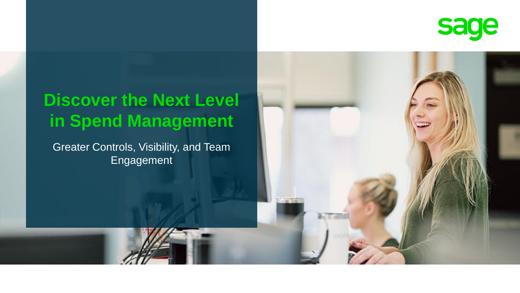

## **Discover the Next Level in Spend Management**

Greater Controls, Visibility, and Team Engagement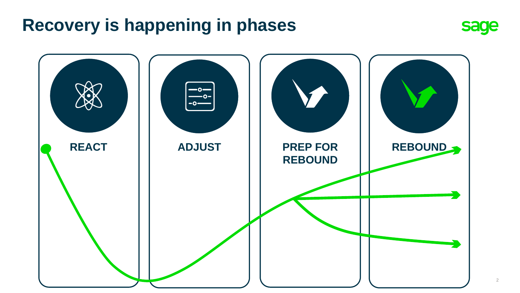## **Recovery is happening in phases**



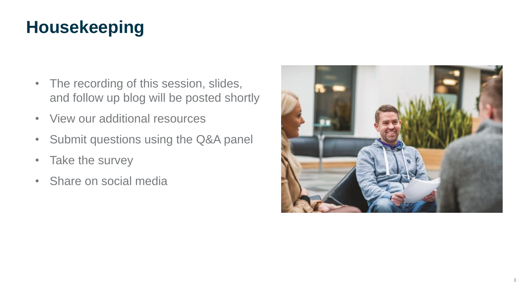## **Housekeeping**

- The recording of this session, slides, and follow up blog will be posted shortly
- View our additional resources
- Submit questions using the Q&A panel
- Take the survey
- Share on social media

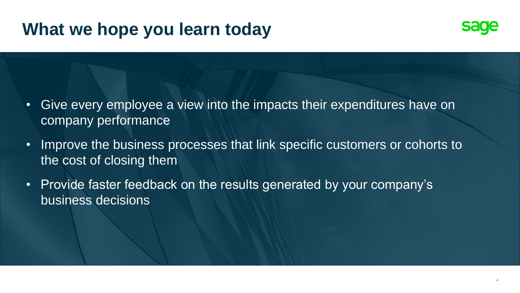## **What we hope you learn today**



- Give every employee a view into the impacts their expenditures have on company performance
- Improve the business processes that link specific customers or cohorts to the cost of closing them
- Provide faster feedback on the results generated by your company's business decisions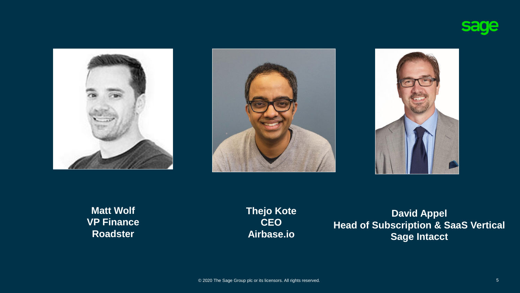







**Matt Wolf VP Finance Roadster**

**Thejo Kote CEO Airbase.io**

**David Appel Head of Subscription & SaaS Vertical Sage Intacct**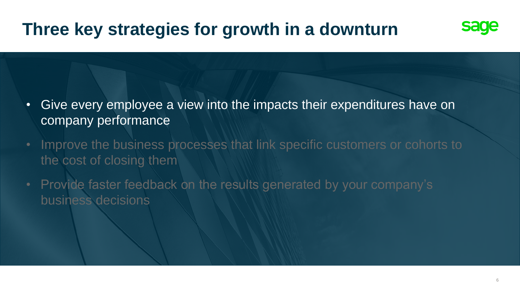

- Give every employee a view into the impacts their expenditures have on company performance
- Improve the business processes that link specific customers or cohorts to the cost of closing them
- Provide faster feedback on the results generated by your company's business decisions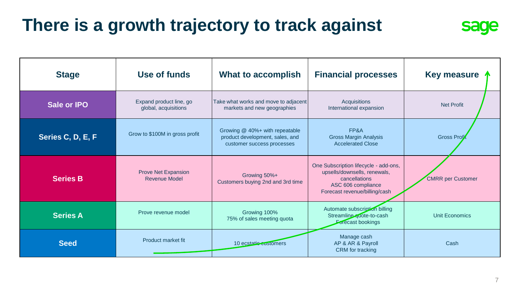## **There is a growth trajectory to track against**

| <b>Stage</b>      | Use of funds                                    | <b>What to accomplish</b>                                                                       | <b>Financial processes</b>                                                                                                                    | Key measure $\uparrow$   |
|-------------------|-------------------------------------------------|-------------------------------------------------------------------------------------------------|-----------------------------------------------------------------------------------------------------------------------------------------------|--------------------------|
| Sale or IPO       | Expand product line, go<br>global, acquisitions | Take what works and move to adjacent<br>markets and new geographies                             | <b>Acquisitions</b><br>International expansion                                                                                                | <b>Net Profit</b>        |
| Series C, D, E, F | Grow to \$100M in gross profit                  | Growing @ 40%+ with repeatable<br>product development, sales, and<br>customer success processes | FP&A<br><b>Gross Margin Analysis</b><br><b>Accelerated Close</b>                                                                              | <b>Gross Profil</b>      |
| <b>Series B</b>   | Prove Net Expansion<br><b>Revenue Model</b>     | Growing 50%+<br>Customers buying 2nd and 3rd time                                               | One Subscription lifecycle - add-ons,<br>upsells/downsells, renewals,<br>cancellations<br>ASC 606 compliance<br>Forecast revenue/billing/cash | <b>CMRR</b> per Customer |
| <b>Series A</b>   | Prove revenue model                             | Growing 100%<br>75% of sales meeting quota                                                      | Automate subscription billing<br>Streamline quote-to-cash<br>Forecast bookings                                                                | Unit Economics           |
| <b>Seed</b>       | <b>Product market fit</b>                       | 10 ecstatic customers                                                                           | Manage cash<br>AP & AR & Payroll<br><b>CRM</b> for tracking                                                                                   | Cash                     |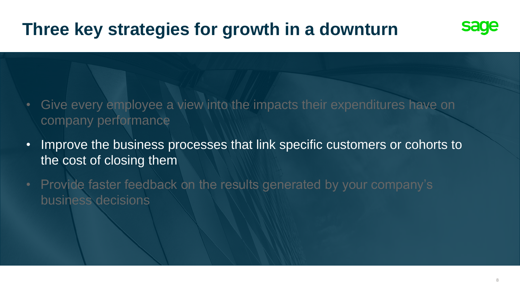

- Give every employee a view into the impacts their expenditures have on company performance
- Improve the business processes that link specific customers or cohorts to the cost of closing them
- Provide faster feedback on the results generated by your company's business decisions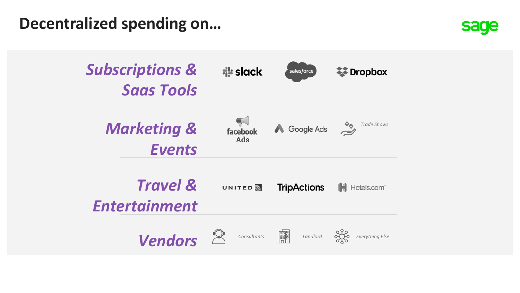**Decentralized spending on…**



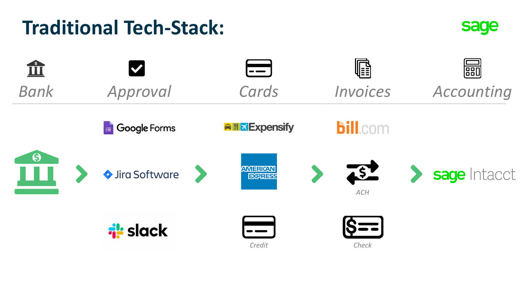## **Traditional Tech-Stack:**



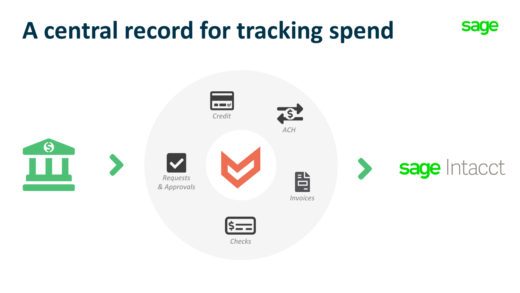# **A central record for tracking spend sage**

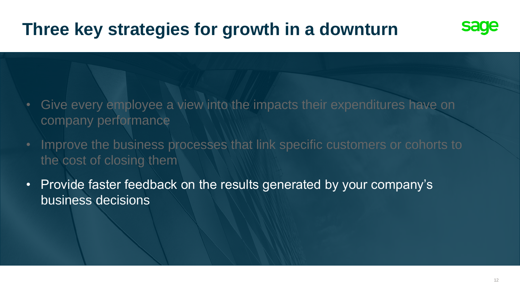

- Give every employee a view into the impacts their expenditures have on company performance
- Improve the business processes that link specific customers or cohorts to the cost of closing them
- Provide faster feedback on the results generated by your company's business decisions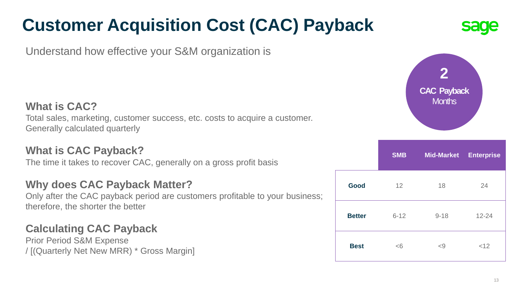## **Customer Acquisition Cost (CAC) Payback**

Understand how effective your S&M organization is

#### **What is CAC?**

Total sales, marketing, customer success, etc. costs to acquire a customer. Generally calculated quarterly

#### **What is CAC Payback?**

The time it takes to recover CAC, generally on a gross profit basis

#### **Why does CAC Payback Matter?**

Only after the CAC payback period are customers profitable to your business; therefore, the shorter the better

#### **Calculating CAC Payback**

Prior Period S&M Expense / [(Quarterly Net New MRR) \* Gross Margin]



|               | <b>SMB</b> | <b>Mid-Market</b> | <b>Enterprise</b> |
|---------------|------------|-------------------|-------------------|
| Good          | 12         | 18                | 24                |
| <b>Better</b> | $6 - 12$   | $9 - 18$          | $12 - 24$         |
| <b>Best</b>   | <6         | < 9               | <12               |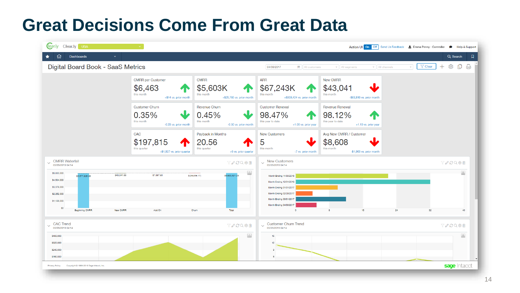## **Great Decisions Come From Great Data**

| learly Clearly USA                                                                                                                                   |                                                                            |                                                                                      |                                                                                                                                                                           |                                                                              | Action UI On Off Send Us Feedback & Emma Penny - Controller + Help & Support |
|------------------------------------------------------------------------------------------------------------------------------------------------------|----------------------------------------------------------------------------|--------------------------------------------------------------------------------------|---------------------------------------------------------------------------------------------------------------------------------------------------------------------------|------------------------------------------------------------------------------|------------------------------------------------------------------------------|
| ⋒<br>Dashboards<br>$\checkmark$                                                                                                                      |                                                                            |                                                                                      |                                                                                                                                                                           |                                                                              | $\Box$<br>Q Search                                                           |
| Digital Board Book - SaaS Metrics                                                                                                                    |                                                                            |                                                                                      | 04/30/2017<br><b>自</b> All customers                                                                                                                                      | $\mathbf{v}$ All channels<br>$\cdot$ All segments                            | ₵<br>₿<br>ලා<br>$\sqrt{ }$ Clear<br>$\mathbf{v}$ .                           |
|                                                                                                                                                      | <b>CMRR</b> per Customer<br>\$6,463<br>this month<br>+\$14 vs. prior month | <b>CMRR</b><br>\$5,603K<br>$\mathbf \Phi$<br>this month<br>+\$25,785 vs. prior month | <b>ARR</b><br>\$67,243K<br>this month<br>+\$309,424 vs. prior month                                                                                                       | New CMRR<br>\$43,041<br>this month<br>-\$83,816 vs. prior month              |                                                                              |
|                                                                                                                                                      | <b>Customer Churn</b><br>0.35%<br>this month<br>-0.23 vs. prior month      | Revenue Churn<br>0.45%<br>this month<br>-0.30 vs. prior month                        | <b>Customer Renewal</b><br>98.47%<br>this year to date<br>+1.06 vs. prior year                                                                                            | Revenue Renewal<br>98.12%<br>this year to date<br>+1.10 vs. prior year       |                                                                              |
|                                                                                                                                                      | CAC<br>\$197,815<br>T<br>this quarter<br>+\$1,827 vs. prior quarter        | Payback in Months<br>20.56<br>this quarter<br>+6 vs. prior quarter                   | New Customers<br>5<br>this month<br>-7 vs. prior month                                                                                                                    | Avg New CMRR / Customer<br>\$8,608<br>this month<br>-\$1,963 vs. prior month |                                                                              |
| $\vee$ CMRR Waterfall<br>03/29/2019 04:14                                                                                                            |                                                                            | <b>TACQ®®</b>                                                                        | $\vee$ New Customers<br>$_{03/29/2019\ 04:14}$                                                                                                                            |                                                                              | <b>YACQ@自</b>                                                                |
| \$5,630,000<br>\$43,041.66<br>\$5,577,835.86<br>\$4,504,000<br>\$3,378,000<br>\$2,252,000<br>\$1,126,000<br>\$O<br><b>Beginning CMRR</b><br>New CMRR | \$7,597.90<br>Add On                                                       | $\sqrt{2}$<br>\$5,603,621.25<br>\$(24,854,17)<br>Total<br>Chum                       | Month Ending 11/30/2016<br>Month Ending 12/31/2016<br>Month Ending 01/31/2017<br>Month Ending 02/28/2017<br>Month Ending 03/31/2017<br>Month Ending 04/30/2017<br>$\circ$ | $\overline{8}$<br>16<br>24                                                   | $\Delta$<br>32<br>40                                                         |
| <b>CAC Trend</b><br>$\checkmark$<br>03/29/2019 04:14                                                                                                 |                                                                            | <b>TACO@M</b>                                                                        | Customer Churn Trend<br>03/29/2019 04:14<br>$\checkmark$                                                                                                                  |                                                                              | <b>TACQ®®</b>                                                                |
| \$400,000<br>\$320,000<br>\$240,000<br>\$160,000                                                                                                     |                                                                            | $\mathbb{R}$                                                                         | 15<br>12<br>$\theta$                                                                                                                                                      |                                                                              | $\Delta$                                                                     |
| Privacy Policy<br>Copyright @ 1999-2019 Sage Intacct, Inc.                                                                                           |                                                                            |                                                                                      |                                                                                                                                                                           |                                                                              | sage Intacct                                                                 |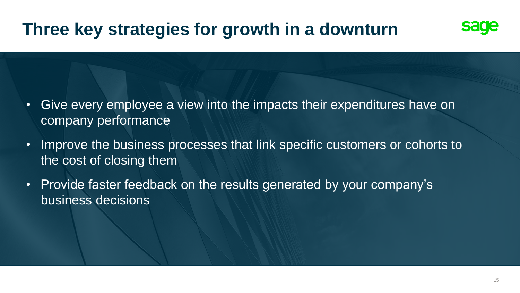

- Give every employee a view into the impacts their expenditures have on company performance
- Improve the business processes that link specific customers or cohorts to the cost of closing them
- Provide faster feedback on the results generated by your company's business decisions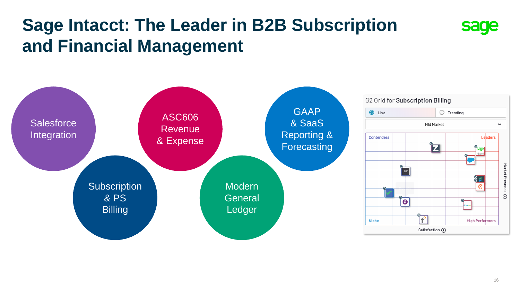## **Sage Intacct: The Leader in B2B Subscription and Financial Management**



**sage**